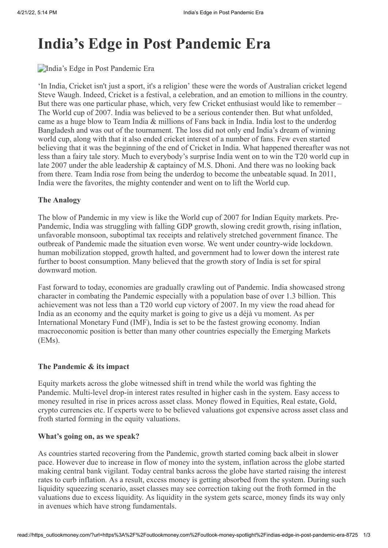# **India's Edge in Post Pandemic Era**

## India's Edge in Post Pandemic Era

'In India, Cricket isn't just a sport, it's a religion' these were the words of Australian cricket legend Steve Waugh. Indeed, Cricket is a festival, a celebration, and an emotion to millions in the country. But there was one particular phase, which, very few Cricket enthusiast would like to remember – The World cup of 2007. India was believed to be a serious contender then. But what unfolded, came as a huge blow to Team India & millions of Fans back in India. India lost to the underdog Bangladesh and was out of the tournament. The loss did not only end India's dream of winning world cup, along with that it also ended cricket interest of a number of fans. Few even started believing that it was the beginning of the end of Cricket in India. What happened thereafter was not less than a fairy tale story. Much to everybody's surprise India went on to win the T20 world cup in late 2007 under the able leadership & captaincy of M.S. Dhoni. And there was no looking back from there. Team India rose from being the underdog to become the unbeatable squad. In 2011, India were the favorites, the mighty contender and went on to lift the World cup.

#### **The Analogy**

The blow of Pandemic in my view is like the World cup of 2007 for Indian Equity markets. Pre-Pandemic, India was struggling with falling GDP growth, slowing credit growth, rising inflation, unfavorable monsoon, suboptimal tax receipts and relatively stretched government finance. The outbreak of Pandemic made the situation even worse. We went under country-wide lockdown. human mobilization stopped, growth halted, and government had to lower down the interest rate further to boost consumption. Many believed that the growth story of India is set for spiral downward motion.

Fast forward to today, economies are gradually crawling out of Pandemic. India showcased strong character in combating the Pandemic especially with a population base of over 1.3 billion. This achievement was not less than a T20 world cup victory of 2007. In my view the road ahead for India as an economy and the equity market is going to give us a déjà vu moment. As per International Monetary Fund (IMF), India is set to be the fastest growing economy. Indian macroeconomic position is better than many other countries especially the Emerging Markets (EMs).

#### **The Pandemic & its impact**

Equity markets across the globe witnessed shift in trend while the world was fighting the Pandemic. Multi-level drop-in interest rates resulted in higher cash in the system. Easy access to money resulted in rise in prices across asset class. Money flowed in Equities, Real estate, Gold, crypto currencies etc. If experts were to be believed valuations got expensive across asset class and froth started forming in the equity valuations.

#### **What's going on, as we speak?**

As countries started recovering from the Pandemic, growth started coming back albeit in slower pace. However due to increase in flow of money into the system, inflation across the globe started making central bank vigilant. Today central banks across the globe have started raising the interest rates to curb inflation. As a result, excess money is getting absorbed from the system. During such liquidity squeezing scenario, asset classes may see correction taking out the froth formed in the valuations due to excess liquidity. As liquidity in the system gets scarce, money finds its way only in avenues which have strong fundamentals.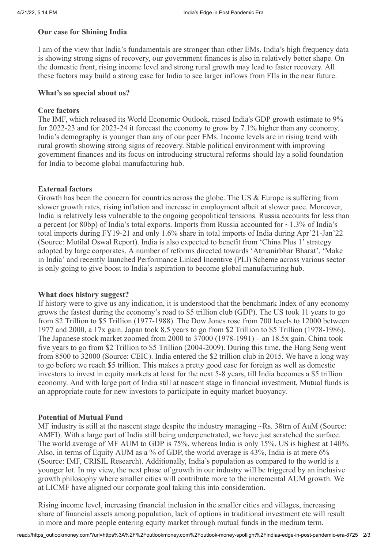# **Our case for Shining India**

I am of the view that India's fundamentals are stronger than other EMs. India's high frequency data is showing strong signs of recovery, our government finances is also in relatively better shape. On the domestic front, rising income level and strong rural growth may lead to faster recovery. All these factors may build a strong case for India to see larger inflows from FIIs in the near future.

## **What's so special about us?**

### **Core factors**

The IMF, which released its World Economic Outlook, raised India's GDP growth estimate to 9% for 2022-23 and for 2023-24 it forecast the economy to grow by 7.1% higher than any economy. India's demography is younger than any of our peer EMs. Income levels are in rising trend with rural growth showing strong signs of recovery. Stable political environment with improving government finances and its focus on introducing structural reforms should lay a solid foundation for India to become global manufacturing hub.

## **External factors**

Growth has been the concern for countries across the globe. The US & Europe is suffering from slower growth rates, rising inflation and increase in employment albeit at slower pace. Moreover, India is relatively less vulnerable to the ongoing geopolitical tensions. Russia accounts for less than a percent (or 80bp) of India's total exports. Imports from Russia accounted for  $\sim$ 1.3% of India's total imports during FY19-21 and only 1.6% share in total imports of India during Apr'21-Jan'22 (Source: Motilal Oswal Report). India is also expected to benefit from 'China Plus 1' strategy adopted by large corporates. A number of reforms directed towards 'Atmanirbhar Bharat', 'Make in India' and recently launched Performance Linked Incentive (PLI) Scheme across various sector is only going to give boost to India's aspiration to become global manufacturing hub.

#### **What does history suggest?**

If history were to give us any indication, it is understood that the benchmark Index of any economy grows the fastest during the economy's road to \$5 trillion club (GDP). The US took 11 years to go from \$2 Trillion to \$5 Trillion (1977-1988). The Dow Jones rose from 700 levels to 12000 between 1977 and 2000, a 17x gain. Japan took 8.5 years to go from \$2 Trillion to \$5 Trillion (1978-1986). The Japanese stock market zoomed from 2000 to 37000 (1978-1991) – an 18.5x gain. China took five years to go from \$2 Trillion to \$5 Trillion (2004-2009). During this time, the Hang Seng went from 8500 to 32000 (Source: CEIC). India entered the \$2 trillion club in 2015. We have a long way to go before we reach \$5 trillion. This makes a pretty good case for foreign as well as domestic investors to invest in equity markets at least for the next 5-8 years, till India becomes a \$5 trillion economy. And with large part of India still at nascent stage in financial investment, Mutual funds is an appropriate route for new investors to participate in equity market buoyancy.

#### **Potential of Mutual Fund**

MF industry is still at the nascent stage despite the industry managing ~Rs. 38trn of AuM (Source: AMFI). With a large part of India still being underpenetrated, we have just scratched the surface. The world average of MF AUM to GDP is 75%, whereas India is only 15%. US is highest at 140%. Also, in terms of Equity AUM as a % of GDP, the world average is 43%. India is at mere 6% (Source: IMF, CRISIL Research). Additionally, India's population as compared to the world is a younger lot. In my view, the next phase of growth in our industry will be triggered by an inclusive growth philosophy where smaller cities will contribute more to the incremental AUM growth. We at LICMF have aligned our corporate goal taking this into consideration.

Rising income level, increasing financial inclusion in the smaller cities and villages, increasing share of financial assets among population, lack of options in traditional investment etc will result in more and more people entering equity market through mutual funds in the medium term.